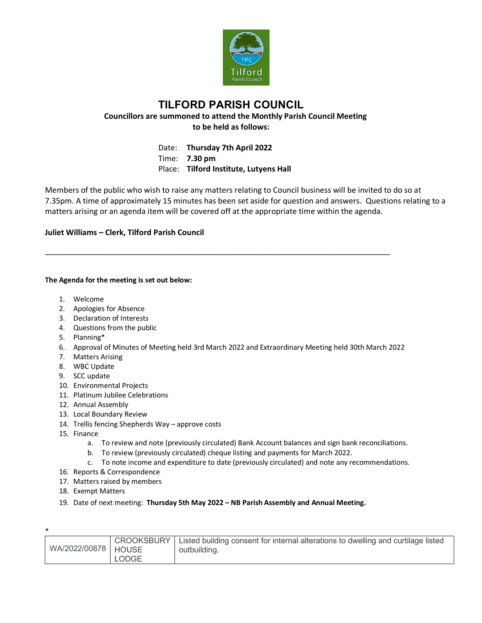

## **TILFORD PARISH COUNCIL Councillors are summoned to attend the Monthly Parish Council Meeting to be held as follows:**

Date: **Thursday 7th April 2022** Time: **7.30 pm** Place: **Tilford Institute, Lutyens Hall**

\_\_\_\_\_\_\_\_\_\_\_\_\_\_\_\_\_\_\_\_\_\_\_\_\_\_\_\_\_\_\_\_\_\_\_\_\_\_\_\_\_\_\_\_\_\_\_\_\_\_\_\_\_\_\_\_\_\_\_\_\_\_\_\_\_\_\_\_\_\_\_\_\_\_\_\_\_\_\_\_

Members of the public who wish to raise any matters relating to Council business will be invited to do so at 7.35pm. A time of approximately 15 minutes has been set aside for question and answers. Questions relating to a matters arising or an agenda item will be covered off at the appropriate time within the agenda.

## **Juliet Williams – Clerk, Tilford Parish Council**

## **The Agenda for the meeting is set out below:**

- 1. Welcome
- 2. Apologies for Absence
- 3. Declaration of Interests
- 4. Questions from the public
- 5. Planning\*
- 6. Approval of Minutes of Meeting held 3rd March 2022 and Extraordinary Meeting held 30th March 2022
- 7. Matters Arising
- 8. WBC Update
- 9. SCC update
- 10. Environmental Projects
- 11. Platinum Jubilee Celebrations
- 12. Annual Assembly
- 13. Local Boundary Review
- 14. Trellis fencing Shepherds Way approve costs
- 15. Finance
	- a. To review and note (previously circulated) Bank Account balances and sign bank reconciliations.
	- b. To review (previously circulated) cheque listing and payments for March 2022.
	- c. To note income and expenditure to date (previously circulated) and note any recommendations.
- 16. Reports & Correspondence
- 17. Matters raised by members
- 18. Exempt Matters
- 19. Date of next meeting: **Thursday 5th May 2022 – NB Parish Assembly and Annual Meeting.**

| WA/2022/00878   HOUSE | CROOKSBURY<br><b>LODGE</b> | Listed building consent for internal alterations to dwelling and curtilage listed<br>outbuilding. |  |  |
|-----------------------|----------------------------|---------------------------------------------------------------------------------------------------|--|--|